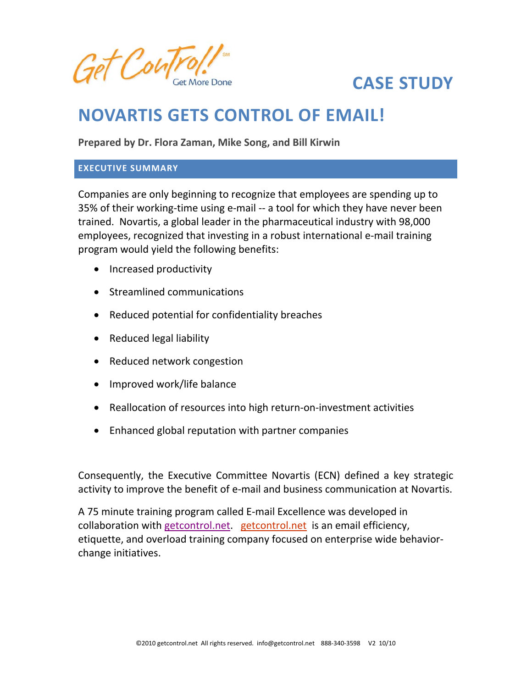

# **CASE STUDY**

## **NOVARTIS GETS CONTROL OF EMAIL!**

**Prepared by Dr. Flora Zaman, Mike Song, and Bill Kirwin**

#### **EXECUTIVE SUMMARY**

Companies are only beginning to recognize that employees are spending up to 35% of their working‐time using e‐mail ‐‐ a tool for which they have never been trained. Novartis, a global leader in the pharmaceutical industry with 98,000 employees, recognized that investing in a robust international e‐mail training program would yield the following benefits:

- Increased productivity
- Streamlined communications
- Reduced potential for confidentiality breaches
- Reduced legal liability
- Reduced network congestion
- Improved work/life balance
- Reallocation of resources into high return‐on‐investment activities
- Enhanced global reputation with partner companies

Consequently, the Executive Committee Novartis (ECN) defined a key strategic activity to improve the benefit of e‐mail and business communication at Novartis.

A 75 minute training program called E‐mail Excellence was developed in collaboration with getcontrol.net. getcontrol.net is an email efficiency, etiquette, and overload training company focused on enterprise wide behavior‐ change initiatives.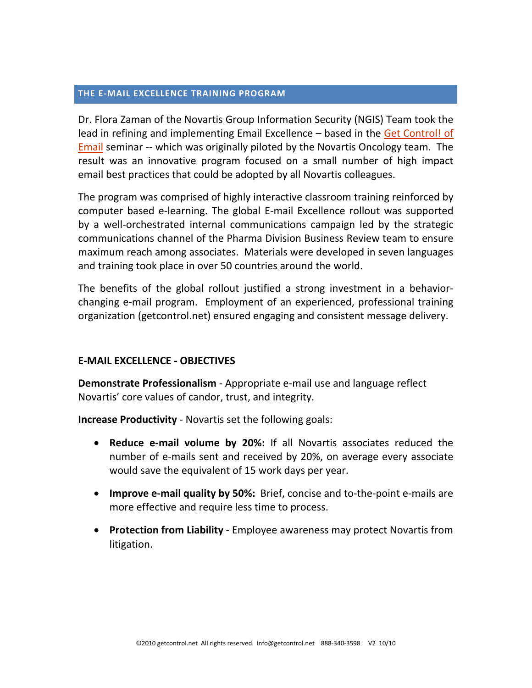#### **THE E‐MAIL EXCELLENCE TRAINING PROGRAM**

Dr. Flora Zaman of the Novartis Group Information Security (NGIS) Team took the lead in refining and implementing Email Excellence – based in the Get Control! of Email seminar -- which was originally piloted by the Novartis Oncology team. The result was an innovative program focused on a small number of high impact email best practices that could be adopted by all Novartis colleagues.

The program was comprised of highly interactive classroom training reinforced by computer based e‐learning. The global E‐mail Excellence rollout was supported by a well-orchestrated internal communications campaign led by the strategic communications channel of the Pharma Division Business Review team to ensure maximum reach among associates. Materials were developed in seven languages and training took place in over 50 countries around the world.

The benefits of the global rollout justified a strong investment in a behavior‐ changing e‐mail program. Employment of an experienced, professional training organization (getcontrol.net) ensured engaging and consistent message delivery.

## **E‐MAIL EXCELLENCE ‐ OBJECTIVES**

**Demonstrate Professionalism** ‐ Appropriate e‐mail use and language reflect Novartis' core values of candor, trust, and integrity.

**Increase Productivity** ‐ Novartis set the following goals:

- **Reduce e‐mail volume by 20%:** If all Novartis associates reduced the number of e‐mails sent and received by 20%, on average every associate would save the equivalent of 15 work days per year.
- **Improve e‐mail quality by 50%:** Brief, concise and to‐the‐point e‐mails are more effective and require less time to process.
- **Protection from Liability** ‐ Employee awareness may protect Novartis from litigation.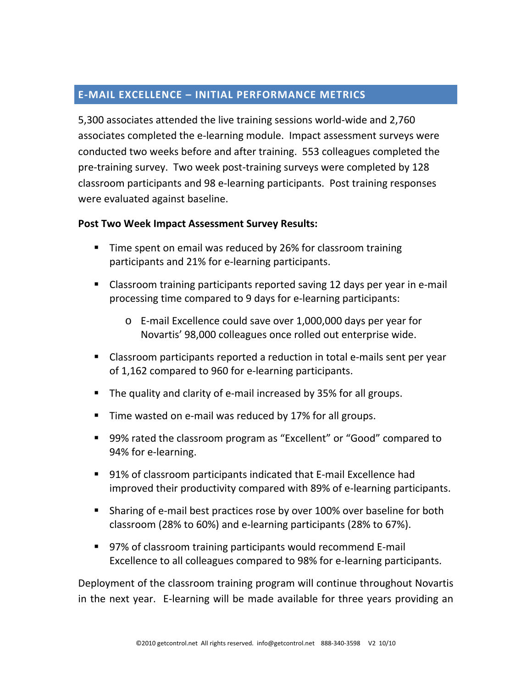## **E‐MAIL EXCELLENCE – INITIAL PERFORMANCE METRICS**

5,300 associates attended the live training sessions world‐wide and 2,760 associates completed the e‐learning module. Impact assessment surveys were conducted two weeks before and after training. 553 colleagues completed the pre-training survey. Two week post-training surveys were completed by 128 classroom participants and 98 e‐learning participants. Post training responses were evaluated against baseline.

## **Post Two Week Impact Assessment Survey Results:**

- **Time spent on email was reduced by 26% for classroom training** participants and 21% for e‐learning participants.
- Classroom training participants reported saving 12 days per year in e-mail processing time compared to 9 days for e‐learning participants:
	- o E‐mail Excellence could save over 1,000,000 days per year for Novartis' 98,000 colleagues once rolled out enterprise wide.
- Classroom participants reported a reduction in total e-mails sent per year of 1,162 compared to 960 for e‐learning participants.
- The quality and clarity of e-mail increased by 35% for all groups.
- Time wasted on e-mail was reduced by 17% for all groups.
- 99% rated the classroom program as "Excellent" or "Good" compared to 94% for e-learning.
- 91% of classroom participants indicated that E-mail Excellence had improved their productivity compared with 89% of e‐learning participants.
- Sharing of e-mail best practices rose by over 100% over baseline for both classroom (28% to 60%) and e‐learning participants (28% to 67%).
- 97% of classroom training participants would recommend E-mail Excellence to all colleagues compared to 98% for e‐learning participants.

Deployment of the classroom training program will continue throughout Novartis in the next year. E‐learning will be made available for three years providing an